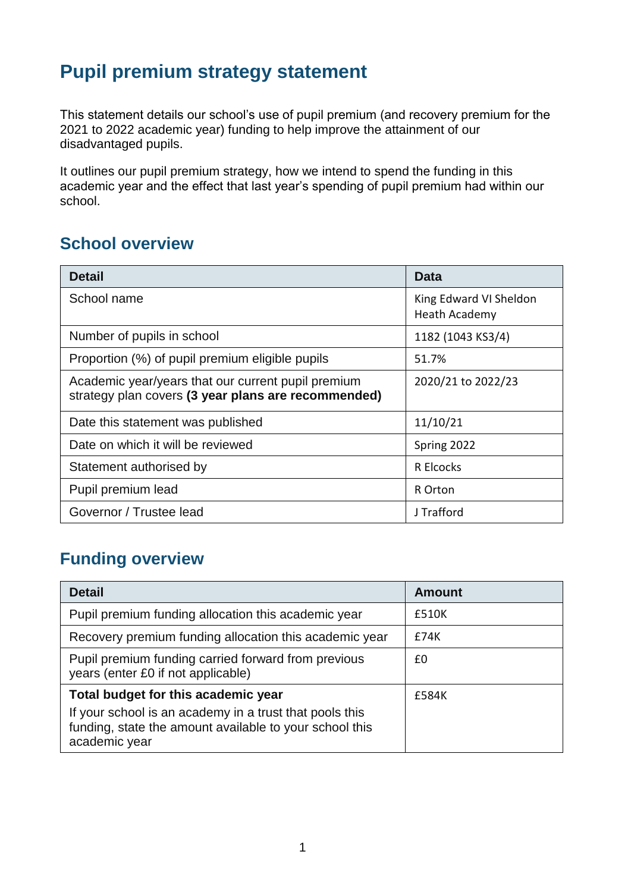# **Pupil premium strategy statement**

This statement details our school's use of pupil premium (and recovery premium for the 2021 to 2022 academic year) funding to help improve the attainment of our disadvantaged pupils.

It outlines our pupil premium strategy, how we intend to spend the funding in this academic year and the effect that last year's spending of pupil premium had within our school.

#### **School overview**

| <b>Detail</b>                                                                                             | Data                                    |
|-----------------------------------------------------------------------------------------------------------|-----------------------------------------|
| School name                                                                                               | King Edward VI Sheldon<br>Heath Academy |
| Number of pupils in school                                                                                | 1182 (1043 KS3/4)                       |
| Proportion (%) of pupil premium eligible pupils                                                           | 51.7%                                   |
| Academic year/years that our current pupil premium<br>strategy plan covers (3 year plans are recommended) | 2020/21 to 2022/23                      |
| Date this statement was published                                                                         | 11/10/21                                |
| Date on which it will be reviewed                                                                         | Spring 2022                             |
| Statement authorised by                                                                                   | R Elcocks                               |
| Pupil premium lead                                                                                        | R Orton                                 |
| Governor / Trustee lead                                                                                   | J Trafford                              |

### **Funding overview**

| <b>Detail</b>                                                                                                                                                              | <b>Amount</b> |
|----------------------------------------------------------------------------------------------------------------------------------------------------------------------------|---------------|
| Pupil premium funding allocation this academic year                                                                                                                        | £510K         |
| Recovery premium funding allocation this academic year                                                                                                                     | £74K          |
| Pupil premium funding carried forward from previous<br>years (enter £0 if not applicable)                                                                                  | £0            |
| Total budget for this academic year<br>If your school is an academy in a trust that pools this<br>funding, state the amount available to your school this<br>academic year | £584K         |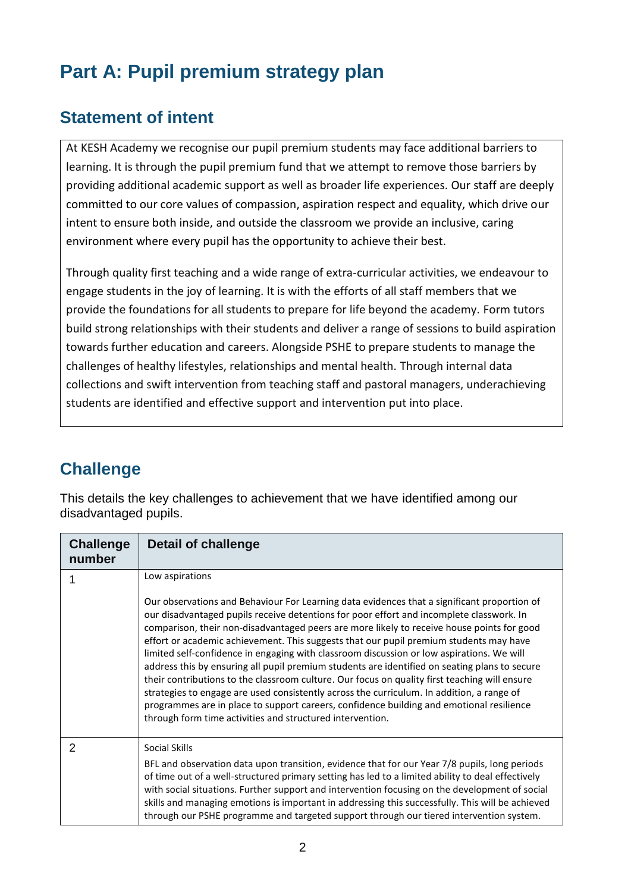# **Part A: Pupil premium strategy plan**

#### **Statement of intent**

At KESH Academy we recognise our pupil premium students may face additional barriers to learning. It is through the pupil premium fund that we attempt to remove those barriers by providing additional academic support as well as broader life experiences. Our staff are deeply committed to our core values of compassion, aspiration respect and equality, which drive our intent to ensure both inside, and outside the classroom we provide an inclusive, caring environment where every pupil has the opportunity to achieve their best.

Through quality first teaching and a wide range of extra-curricular activities, we endeavour to engage students in the joy of learning. It is with the efforts of all staff members that we provide the foundations for all students to prepare for life beyond the academy. Form tutors build strong relationships with their students and deliver a range of sessions to build aspiration towards further education and careers. Alongside PSHE to prepare students to manage the challenges of healthy lifestyles, relationships and mental health. Through internal data collections and swift intervention from teaching staff and pastoral managers, underachieving students are identified and effective support and intervention put into place.

### **Challenge**

This details the key challenges to achievement that we have identified among our disadvantaged pupils.

| <b>Challenge</b><br>number | Detail of challenge                                                                                                                                                                                                                                                                                                                                                                                                                                                                                                                                                                                                                                                                                                                                                                                                                                                                                                                  |
|----------------------------|--------------------------------------------------------------------------------------------------------------------------------------------------------------------------------------------------------------------------------------------------------------------------------------------------------------------------------------------------------------------------------------------------------------------------------------------------------------------------------------------------------------------------------------------------------------------------------------------------------------------------------------------------------------------------------------------------------------------------------------------------------------------------------------------------------------------------------------------------------------------------------------------------------------------------------------|
|                            | Low aspirations                                                                                                                                                                                                                                                                                                                                                                                                                                                                                                                                                                                                                                                                                                                                                                                                                                                                                                                      |
|                            | Our observations and Behaviour For Learning data evidences that a significant proportion of<br>our disadvantaged pupils receive detentions for poor effort and incomplete classwork. In<br>comparison, their non-disadvantaged peers are more likely to receive house points for good<br>effort or academic achievement. This suggests that our pupil premium students may have<br>limited self-confidence in engaging with classroom discussion or low aspirations. We will<br>address this by ensuring all pupil premium students are identified on seating plans to secure<br>their contributions to the classroom culture. Our focus on quality first teaching will ensure<br>strategies to engage are used consistently across the curriculum. In addition, a range of<br>programmes are in place to support careers, confidence building and emotional resilience<br>through form time activities and structured intervention. |
| 2                          | Social Skills                                                                                                                                                                                                                                                                                                                                                                                                                                                                                                                                                                                                                                                                                                                                                                                                                                                                                                                        |
|                            | BFL and observation data upon transition, evidence that for our Year 7/8 pupils, long periods<br>of time out of a well-structured primary setting has led to a limited ability to deal effectively<br>with social situations. Further support and intervention focusing on the development of social<br>skills and managing emotions is important in addressing this successfully. This will be achieved<br>through our PSHE programme and targeted support through our tiered intervention system.                                                                                                                                                                                                                                                                                                                                                                                                                                  |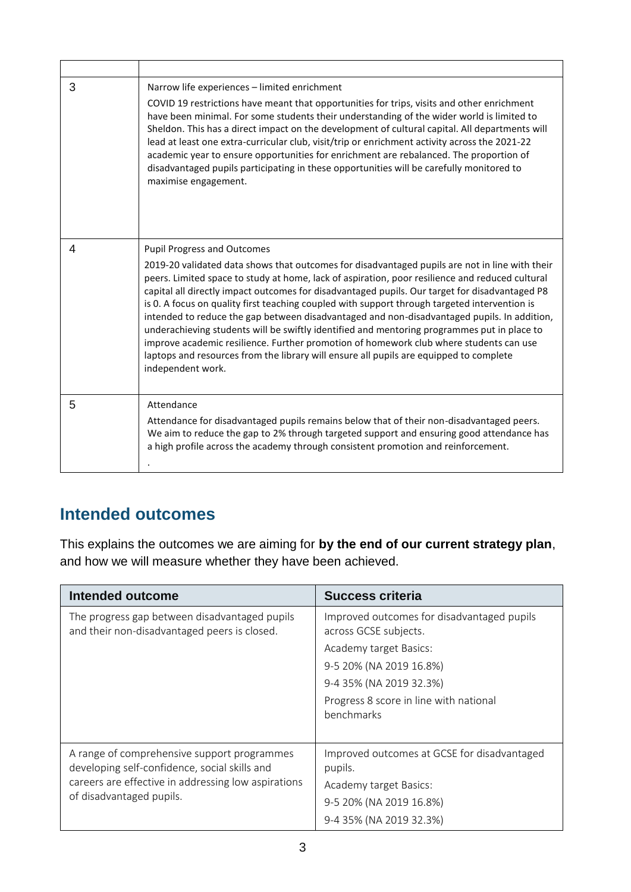| 3 | Narrow life experiences - limited enrichment<br>COVID 19 restrictions have meant that opportunities for trips, visits and other enrichment<br>have been minimal. For some students their understanding of the wider world is limited to<br>Sheldon. This has a direct impact on the development of cultural capital. All departments will<br>lead at least one extra-curricular club, visit/trip or enrichment activity across the 2021-22<br>academic year to ensure opportunities for enrichment are rebalanced. The proportion of<br>disadvantaged pupils participating in these opportunities will be carefully monitored to<br>maximise engagement.                                                                                                                                                                                          |
|---|---------------------------------------------------------------------------------------------------------------------------------------------------------------------------------------------------------------------------------------------------------------------------------------------------------------------------------------------------------------------------------------------------------------------------------------------------------------------------------------------------------------------------------------------------------------------------------------------------------------------------------------------------------------------------------------------------------------------------------------------------------------------------------------------------------------------------------------------------|
| 4 | <b>Pupil Progress and Outcomes</b><br>2019-20 validated data shows that outcomes for disadvantaged pupils are not in line with their<br>peers. Limited space to study at home, lack of aspiration, poor resilience and reduced cultural<br>capital all directly impact outcomes for disadvantaged pupils. Our target for disadvantaged P8<br>is 0. A focus on quality first teaching coupled with support through targeted intervention is<br>intended to reduce the gap between disadvantaged and non-disadvantaged pupils. In addition,<br>underachieving students will be swiftly identified and mentoring programmes put in place to<br>improve academic resilience. Further promotion of homework club where students can use<br>laptops and resources from the library will ensure all pupils are equipped to complete<br>independent work. |
| 5 | Attendance<br>Attendance for disadvantaged pupils remains below that of their non-disadvantaged peers.<br>We aim to reduce the gap to 2% through targeted support and ensuring good attendance has<br>a high profile across the academy through consistent promotion and reinforcement.                                                                                                                                                                                                                                                                                                                                                                                                                                                                                                                                                           |

#### **Intended outcomes**

This explains the outcomes we are aiming for **by the end of our current strategy plan**, and how we will measure whether they have been achieved.

| Intended outcome                                                                                                                                                                | <b>Success criteria</b>                                                                                                                                                                                     |
|---------------------------------------------------------------------------------------------------------------------------------------------------------------------------------|-------------------------------------------------------------------------------------------------------------------------------------------------------------------------------------------------------------|
| The progress gap between disadvantaged pupils<br>and their non-disadvantaged peers is closed.                                                                                   | Improved outcomes for disadvantaged pupils<br>across GCSE subjects.<br>Academy target Basics:<br>9-5 20% (NA 2019 16.8%)<br>9-4 35% (NA 2019 32.3%)<br>Progress 8 score in line with national<br>benchmarks |
| A range of comprehensive support programmes<br>developing self-confidence, social skills and<br>careers are effective in addressing low aspirations<br>of disadvantaged pupils. | Improved outcomes at GCSE for disadvantaged<br>pupils.<br>Academy target Basics:<br>9-5 20% (NA 2019 16.8%)<br>9-4 35% (NA 2019 32.3%)                                                                      |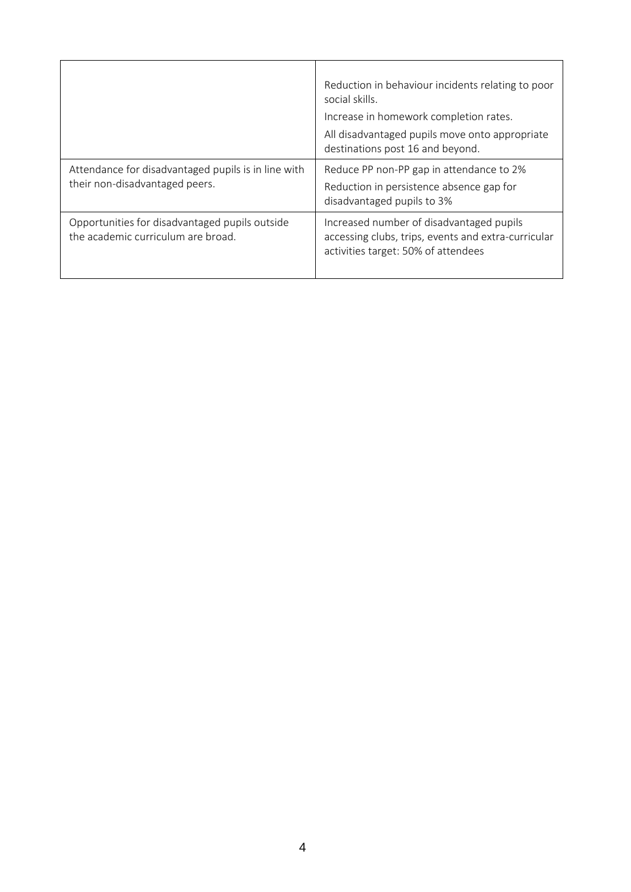|                                                                                       | Reduction in behaviour incidents relating to poor<br>social skills.<br>Increase in homework completion rates.<br>All disadvantaged pupils move onto appropriate<br>destinations post 16 and beyond. |
|---------------------------------------------------------------------------------------|-----------------------------------------------------------------------------------------------------------------------------------------------------------------------------------------------------|
| Attendance for disadvantaged pupils is in line with<br>their non-disadvantaged peers. | Reduce PP non-PP gap in attendance to 2%<br>Reduction in persistence absence gap for<br>disadvantaged pupils to 3%                                                                                  |
| Opportunities for disadvantaged pupils outside<br>the academic curriculum are broad.  | Increased number of disadvantaged pupils<br>accessing clubs, trips, events and extra-curricular<br>activities target: 50% of attendees                                                              |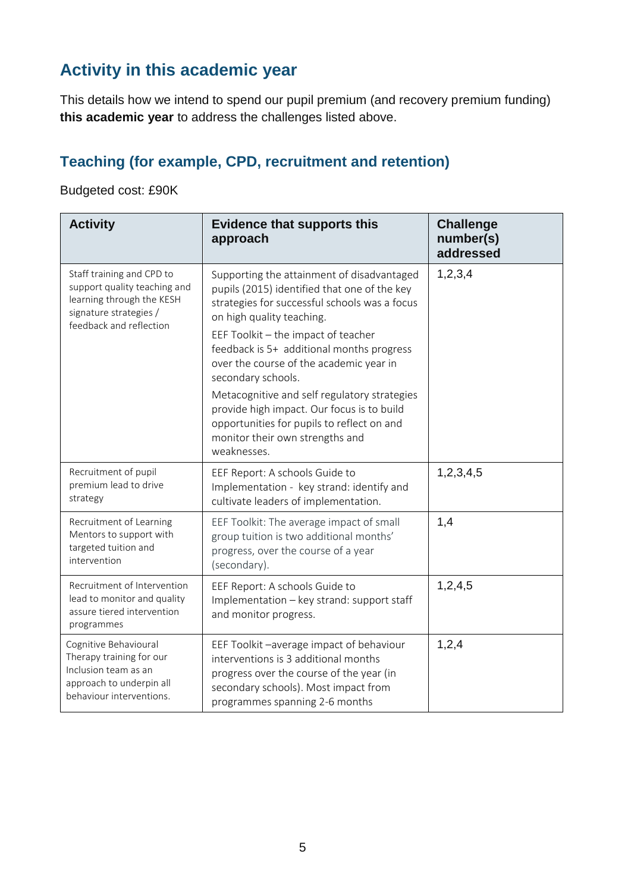## **Activity in this academic year**

This details how we intend to spend our pupil premium (and recovery premium funding) **this academic year** to address the challenges listed above.

#### **Teaching (for example, CPD, recruitment and retention)**

#### Budgeted cost: £90K

| <b>Activity</b>                                                                                                                             | <b>Evidence that supports this</b><br>approach                                                                                                                                                                                                                                                                                                                                                                                                                                                                              | <b>Challenge</b><br>number(s)<br>addressed |
|---------------------------------------------------------------------------------------------------------------------------------------------|-----------------------------------------------------------------------------------------------------------------------------------------------------------------------------------------------------------------------------------------------------------------------------------------------------------------------------------------------------------------------------------------------------------------------------------------------------------------------------------------------------------------------------|--------------------------------------------|
| Staff training and CPD to<br>support quality teaching and<br>learning through the KESH<br>signature strategies /<br>feedback and reflection | Supporting the attainment of disadvantaged<br>pupils (2015) identified that one of the key<br>strategies for successful schools was a focus<br>on high quality teaching.<br>EEF Toolkit - the impact of teacher<br>feedback is 5+ additional months progress<br>over the course of the academic year in<br>secondary schools.<br>Metacognitive and self regulatory strategies<br>provide high impact. Our focus is to build<br>opportunities for pupils to reflect on and<br>monitor their own strengths and<br>weaknesses. | 1,2,3,4                                    |
| Recruitment of pupil<br>premium lead to drive<br>strategy                                                                                   | EEF Report: A schools Guide to<br>Implementation - key strand: identify and<br>cultivate leaders of implementation.                                                                                                                                                                                                                                                                                                                                                                                                         | 1,2,3,4,5                                  |
| Recruitment of Learning<br>Mentors to support with<br>targeted tuition and<br>intervention                                                  | EEF Toolkit: The average impact of small<br>group tuition is two additional months'<br>progress, over the course of a year<br>(secondary).                                                                                                                                                                                                                                                                                                                                                                                  | 1,4                                        |
| Recruitment of Intervention<br>lead to monitor and quality<br>assure tiered intervention<br>programmes                                      | EEF Report: A schools Guide to<br>Implementation - key strand: support staff<br>and monitor progress.                                                                                                                                                                                                                                                                                                                                                                                                                       | 1,2,4,5                                    |
| Cognitive Behavioural<br>Therapy training for our<br>Inclusion team as an<br>approach to underpin all<br>behaviour interventions.           | EEF Toolkit -average impact of behaviour<br>interventions is 3 additional months<br>progress over the course of the year (in<br>secondary schools). Most impact from<br>programmes spanning 2-6 months                                                                                                                                                                                                                                                                                                                      | 1,2,4                                      |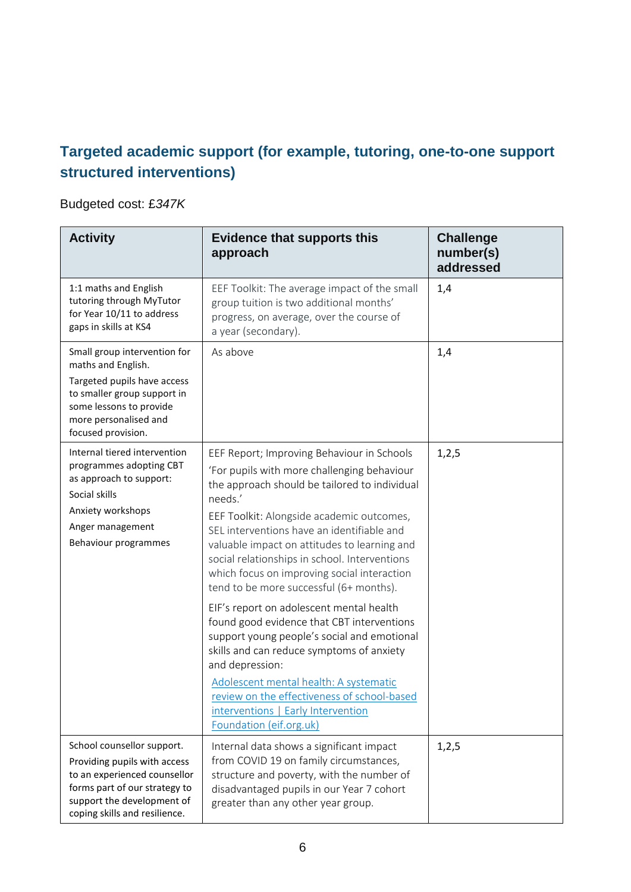#### **Targeted academic support (for example, tutoring, one-to-one support structured interventions)**

#### Budgeted cost: £*347K*

| <b>Activity</b>                                                                                                                                                                            | <b>Evidence that supports this</b><br>approach                                                                                                                                                                                                                                                                                                                                                                                                                                                                                                                                                                                                                                                                                                                                                                 | <b>Challenge</b><br>number(s)<br>addressed |
|--------------------------------------------------------------------------------------------------------------------------------------------------------------------------------------------|----------------------------------------------------------------------------------------------------------------------------------------------------------------------------------------------------------------------------------------------------------------------------------------------------------------------------------------------------------------------------------------------------------------------------------------------------------------------------------------------------------------------------------------------------------------------------------------------------------------------------------------------------------------------------------------------------------------------------------------------------------------------------------------------------------------|--------------------------------------------|
| 1:1 maths and English<br>tutoring through MyTutor<br>for Year 10/11 to address<br>gaps in skills at KS4                                                                                    | EEF Toolkit: The average impact of the small<br>group tuition is two additional months'<br>progress, on average, over the course of<br>a year (secondary).                                                                                                                                                                                                                                                                                                                                                                                                                                                                                                                                                                                                                                                     | 1,4                                        |
| Small group intervention for<br>maths and English.<br>Targeted pupils have access<br>to smaller group support in<br>some lessons to provide<br>more personalised and<br>focused provision. | As above                                                                                                                                                                                                                                                                                                                                                                                                                                                                                                                                                                                                                                                                                                                                                                                                       | 1,4                                        |
| Internal tiered intervention<br>programmes adopting CBT<br>as approach to support:<br>Social skills<br>Anxiety workshops<br>Anger management<br>Behaviour programmes                       | EEF Report; Improving Behaviour in Schools<br>'For pupils with more challenging behaviour<br>the approach should be tailored to individual<br>needs.'<br>EEF Toolkit: Alongside academic outcomes,<br>SEL interventions have an identifiable and<br>valuable impact on attitudes to learning and<br>social relationships in school. Interventions<br>which focus on improving social interaction<br>tend to be more successful (6+ months).<br>EIF's report on adolescent mental health<br>found good evidence that CBT interventions<br>support young people's social and emotional<br>skills and can reduce symptoms of anxiety<br>and depression:<br>Adolescent mental health: A systematic<br>review on the effectiveness of school-based<br>interventions   Early Intervention<br>Foundation (eif.org.uk) | 1,2,5                                      |
| School counsellor support.<br>Providing pupils with access<br>to an experienced counsellor<br>forms part of our strategy to<br>support the development of<br>coping skills and resilience. | Internal data shows a significant impact<br>from COVID 19 on family circumstances,<br>structure and poverty, with the number of<br>disadvantaged pupils in our Year 7 cohort<br>greater than any other year group.                                                                                                                                                                                                                                                                                                                                                                                                                                                                                                                                                                                             | 1,2,5                                      |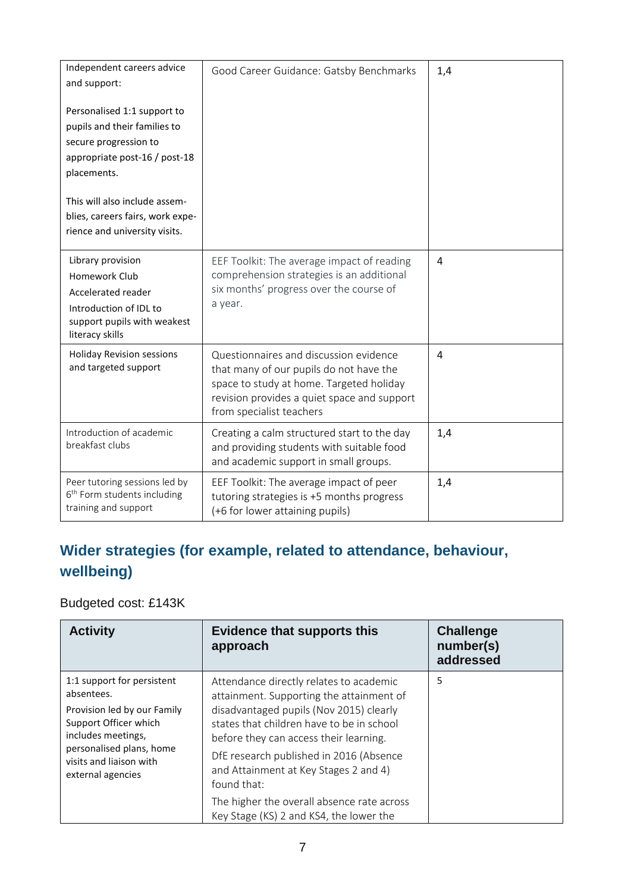| Independent careers advice<br>and support:                                                                                           | Good Career Guidance: Gatsby Benchmarks                                                                                                                                                                  | 1,4            |
|--------------------------------------------------------------------------------------------------------------------------------------|----------------------------------------------------------------------------------------------------------------------------------------------------------------------------------------------------------|----------------|
| Personalised 1:1 support to<br>pupils and their families to<br>secure progression to<br>appropriate post-16 / post-18<br>placements. |                                                                                                                                                                                                          |                |
| This will also include assem-<br>blies, careers fairs, work expe-<br>rience and university visits.                                   |                                                                                                                                                                                                          |                |
| Library provision<br>Homework Club<br>Accelerated reader<br>Introduction of IDL to<br>support pupils with weakest<br>literacy skills | EEF Toolkit: The average impact of reading<br>comprehension strategies is an additional<br>six months' progress over the course of<br>a year.                                                            | 4              |
| <b>Holiday Revision sessions</b><br>and targeted support                                                                             | Questionnaires and discussion evidence<br>that many of our pupils do not have the<br>space to study at home. Targeted holiday<br>revision provides a quiet space and support<br>from specialist teachers | $\overline{4}$ |
| Introduction of academic<br>breakfast clubs                                                                                          | Creating a calm structured start to the day<br>and providing students with suitable food<br>and academic support in small groups.                                                                        | 1,4            |
| Peer tutoring sessions led by<br>6 <sup>th</sup> Form students including<br>training and support                                     | EEF Toolkit: The average impact of peer<br>tutoring strategies is +5 months progress<br>(+6 for lower attaining pupils)                                                                                  | 1,4            |

#### **Wider strategies (for example, related to attendance, behaviour, wellbeing)**

Budgeted cost: £143K

| <b>Activity</b>                                                                                                                                                                                    | <b>Evidence that supports this</b><br>approach                                                                                                                                                                                                                                                                           | <b>Challenge</b><br>number(s)<br>addressed |
|----------------------------------------------------------------------------------------------------------------------------------------------------------------------------------------------------|--------------------------------------------------------------------------------------------------------------------------------------------------------------------------------------------------------------------------------------------------------------------------------------------------------------------------|--------------------------------------------|
| 1:1 support for persistent<br>absentees.<br>Provision led by our Family<br>Support Officer which<br>includes meetings,<br>personalised plans, home<br>visits and liaison with<br>external agencies | Attendance directly relates to academic<br>attainment. Supporting the attainment of<br>disadvantaged pupils (Nov 2015) clearly<br>states that children have to be in school<br>before they can access their learning.<br>DfE research published in 2016 (Absence<br>and Attainment at Key Stages 2 and 4)<br>found that: | 5                                          |
|                                                                                                                                                                                                    | The higher the overall absence rate across<br>Key Stage (KS) 2 and KS4, the lower the                                                                                                                                                                                                                                    |                                            |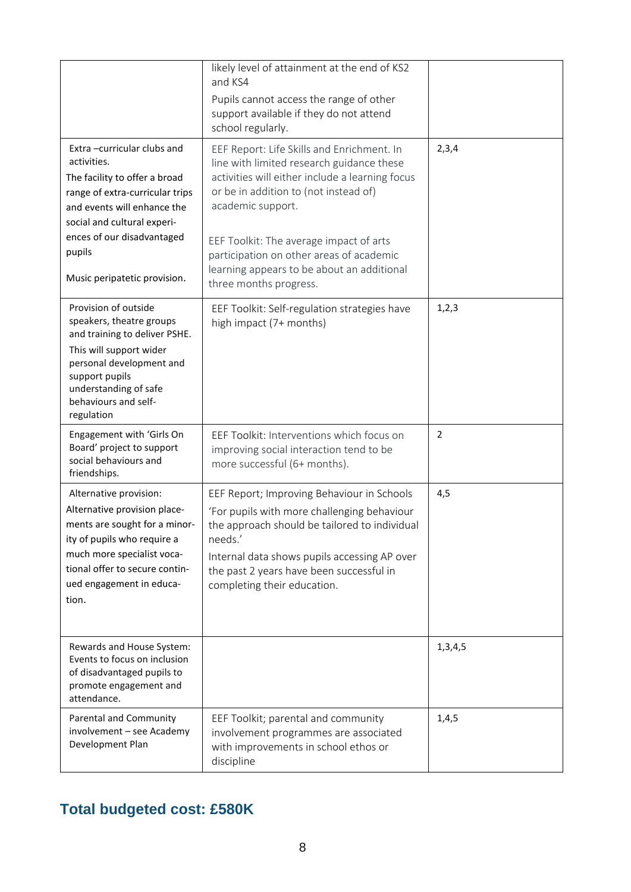|                                                                                                                                                                                                                             | likely level of attainment at the end of KS2<br>and KS4<br>Pupils cannot access the range of other<br>support available if they do not attend                                                                                                                                    |                |
|-----------------------------------------------------------------------------------------------------------------------------------------------------------------------------------------------------------------------------|----------------------------------------------------------------------------------------------------------------------------------------------------------------------------------------------------------------------------------------------------------------------------------|----------------|
| Extra-curricular clubs and<br>activities.<br>The facility to offer a broad<br>range of extra-curricular trips<br>and events will enhance the<br>social and cultural experi-                                                 | school regularly.<br>EEF Report: Life Skills and Enrichment. In<br>line with limited research guidance these<br>activities will either include a learning focus<br>or be in addition to (not instead of)<br>academic support.                                                    | 2,3,4          |
| ences of our disadvantaged<br>pupils<br>Music peripatetic provision.                                                                                                                                                        | EEF Toolkit: The average impact of arts<br>participation on other areas of academic<br>learning appears to be about an additional<br>three months progress.                                                                                                                      |                |
| Provision of outside<br>speakers, theatre groups<br>and training to deliver PSHE.<br>This will support wider<br>personal development and<br>support pupils<br>understanding of safe<br>behaviours and self-<br>regulation   | EEF Toolkit: Self-regulation strategies have<br>high impact (7+ months)                                                                                                                                                                                                          | 1, 2, 3        |
| Engagement with 'Girls On<br>Board' project to support<br>social behaviours and<br>friendships.                                                                                                                             | EEF Toolkit: Interventions which focus on<br>improving social interaction tend to be<br>more successful (6+ months).                                                                                                                                                             | $\overline{2}$ |
| Alternative provision:<br>Alternative provision place-<br>ments are sought for a minor-<br>ity of pupils who require a<br>much more specialist voca-<br>tional offer to secure contin-<br>ued engagement in educa-<br>tion. | EEF Report; Improving Behaviour in Schools<br>'For pupils with more challenging behaviour<br>the approach should be tailored to individual<br>needs.'<br>Internal data shows pupils accessing AP over<br>the past 2 years have been successful in<br>completing their education. | 4,5            |
| Rewards and House System:<br>Events to focus on inclusion<br>of disadvantaged pupils to<br>promote engagement and<br>attendance.                                                                                            |                                                                                                                                                                                                                                                                                  | 1,3,4,5        |
| Parental and Community<br>involvement - see Academy<br>Development Plan                                                                                                                                                     | EEF Toolkit; parental and community<br>involvement programmes are associated<br>with improvements in school ethos or<br>discipline                                                                                                                                               | 1, 4, 5        |

## **Total budgeted cost: £580K**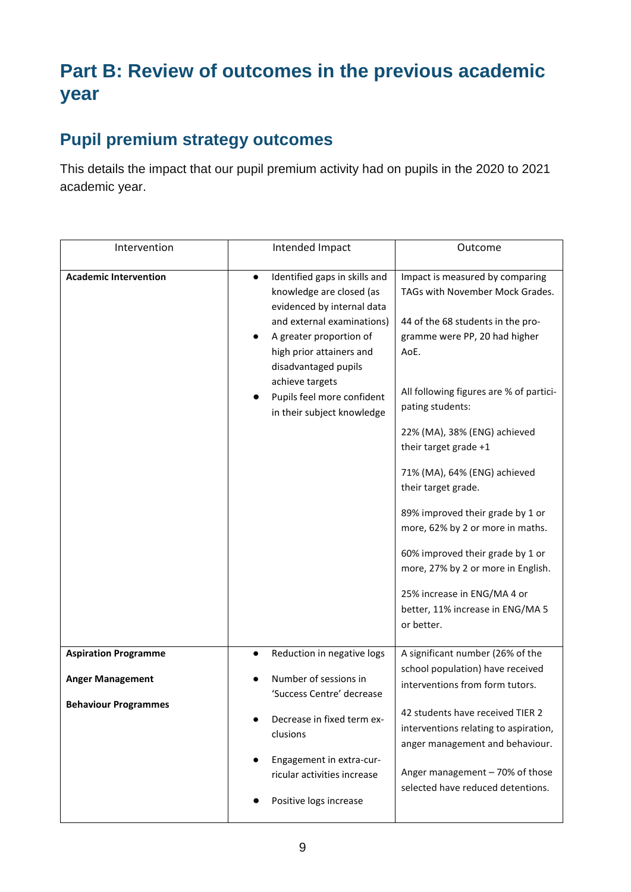# **Part B: Review of outcomes in the previous academic year**

#### **Pupil premium strategy outcomes**

This details the impact that our pupil premium activity had on pupils in the 2020 to 2021 academic year.

| Intervention                 | Intended Impact                                                                                                                                                                                                                                                                                  | Outcome                                                                                                                                                                                                                                                                                                                                                                                                                                                                                                                                                            |
|------------------------------|--------------------------------------------------------------------------------------------------------------------------------------------------------------------------------------------------------------------------------------------------------------------------------------------------|--------------------------------------------------------------------------------------------------------------------------------------------------------------------------------------------------------------------------------------------------------------------------------------------------------------------------------------------------------------------------------------------------------------------------------------------------------------------------------------------------------------------------------------------------------------------|
| <b>Academic Intervention</b> | Identified gaps in skills and<br>$\bullet$<br>knowledge are closed (as<br>evidenced by internal data<br>and external examinations)<br>A greater proportion of<br>high prior attainers and<br>disadvantaged pupils<br>achieve targets<br>Pupils feel more confident<br>in their subject knowledge | Impact is measured by comparing<br>TAGs with November Mock Grades.<br>44 of the 68 students in the pro-<br>gramme were PP, 20 had higher<br>AoE.<br>All following figures are % of partici-<br>pating students:<br>22% (MA), 38% (ENG) achieved<br>their target grade +1<br>71% (MA), 64% (ENG) achieved<br>their target grade.<br>89% improved their grade by 1 or<br>more, 62% by 2 or more in maths.<br>60% improved their grade by 1 or<br>more, 27% by 2 or more in English.<br>25% increase in ENG/MA 4 or<br>better, 11% increase in ENG/MA 5<br>or better. |
| <b>Aspiration Programme</b>  | Reduction in negative logs                                                                                                                                                                                                                                                                       | A significant number (26% of the<br>school population) have received                                                                                                                                                                                                                                                                                                                                                                                                                                                                                               |
| <b>Anger Management</b>      | Number of sessions in<br>'Success Centre' decrease                                                                                                                                                                                                                                               | interventions from form tutors.                                                                                                                                                                                                                                                                                                                                                                                                                                                                                                                                    |
| <b>Behaviour Programmes</b>  | Decrease in fixed term ex-<br>clusions                                                                                                                                                                                                                                                           | 42 students have received TIER 2<br>interventions relating to aspiration,<br>anger management and behaviour.                                                                                                                                                                                                                                                                                                                                                                                                                                                       |
|                              | Engagement in extra-cur-<br>ricular activities increase<br>Positive logs increase                                                                                                                                                                                                                | Anger management - 70% of those<br>selected have reduced detentions.                                                                                                                                                                                                                                                                                                                                                                                                                                                                                               |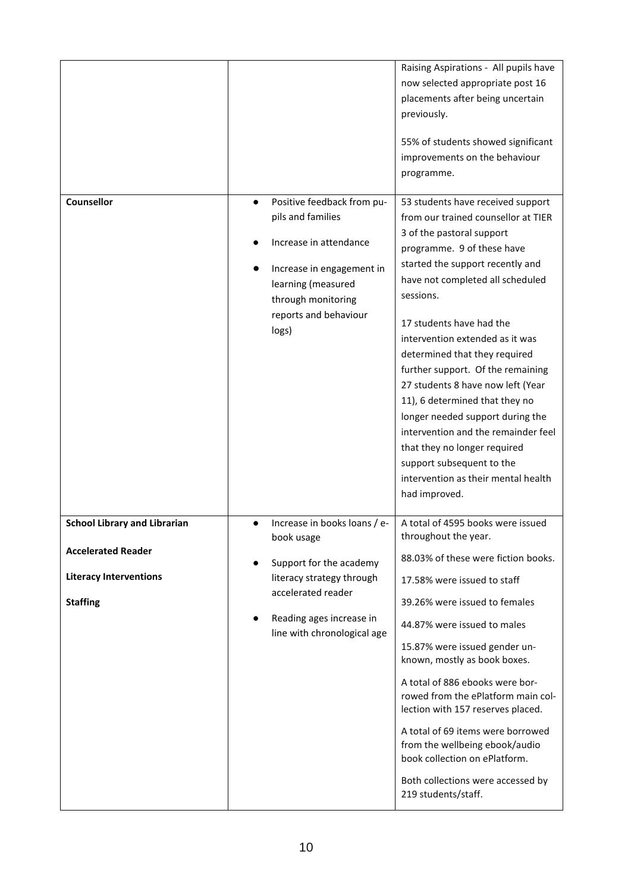|                                                                                                                      |                                                                                                                                                                                                               | Raising Aspirations - All pupils have<br>now selected appropriate post 16<br>placements after being uncertain<br>previously.<br>55% of students showed significant<br>improvements on the behaviour<br>programme.                                                                                                                                                                                                                                                                                                                                                                                                                    |
|----------------------------------------------------------------------------------------------------------------------|---------------------------------------------------------------------------------------------------------------------------------------------------------------------------------------------------------------|--------------------------------------------------------------------------------------------------------------------------------------------------------------------------------------------------------------------------------------------------------------------------------------------------------------------------------------------------------------------------------------------------------------------------------------------------------------------------------------------------------------------------------------------------------------------------------------------------------------------------------------|
| Counsellor                                                                                                           | Positive feedback from pu-<br>$\bullet$<br>pils and families<br>Increase in attendance<br>Increase in engagement in<br>learning (measured<br>through monitoring<br>reports and behaviour<br>logs)             | 53 students have received support<br>from our trained counsellor at TIER<br>3 of the pastoral support<br>programme. 9 of these have<br>started the support recently and<br>have not completed all scheduled<br>sessions.<br>17 students have had the<br>intervention extended as it was<br>determined that they required<br>further support. Of the remaining<br>27 students 8 have now left (Year<br>11), 6 determined that they no<br>longer needed support during the<br>intervention and the remainder feel<br>that they no longer required<br>support subsequent to the<br>intervention as their mental health<br>had improved. |
| <b>School Library and Librarian</b><br><b>Accelerated Reader</b><br><b>Literacy Interventions</b><br><b>Staffing</b> | Increase in books loans / e-<br>book usage<br>Support for the academy<br>$\bullet$<br>literacy strategy through<br>accelerated reader<br>Reading ages increase in<br>$\bullet$<br>line with chronological age | A total of 4595 books were issued<br>throughout the year.<br>88.03% of these were fiction books.<br>17.58% were issued to staff<br>39.26% were issued to females<br>44.87% were issued to males<br>15.87% were issued gender un-<br>known, mostly as book boxes.<br>A total of 886 ebooks were bor-<br>rowed from the ePlatform main col-<br>lection with 157 reserves placed.<br>A total of 69 items were borrowed<br>from the wellbeing ebook/audio<br>book collection on ePlatform.<br>Both collections were accessed by<br>219 students/staff.                                                                                   |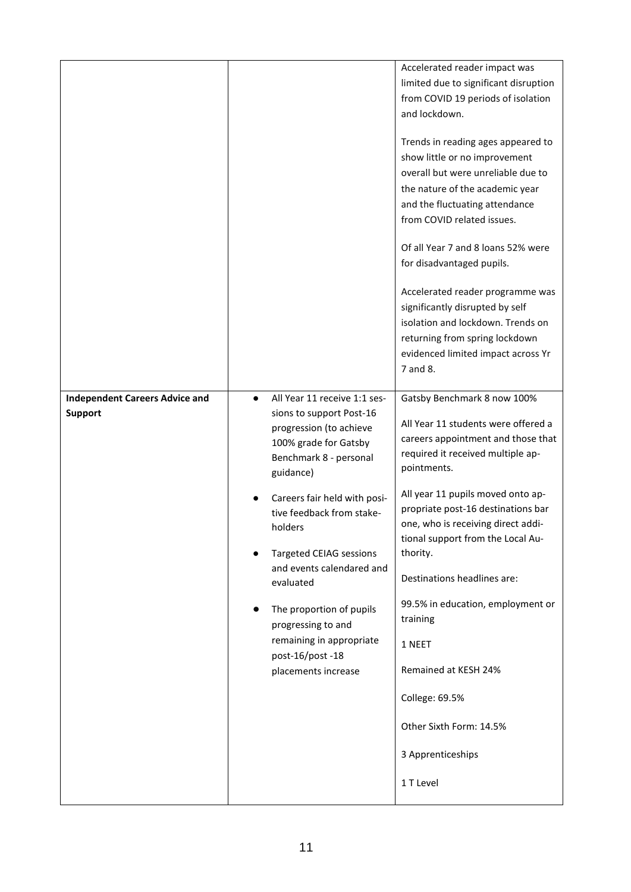| <b>Independent Careers Advice and</b><br><b>Support</b> | All Year 11 receive 1:1 ses-<br>$\bullet$<br>sions to support Post-16<br>progression (to achieve<br>100% grade for Gatsby<br>Benchmark 8 - personal<br>guidance)<br>Careers fair held with posi-<br>tive feedback from stake- | Accelerated reader impact was<br>limited due to significant disruption<br>from COVID 19 periods of isolation<br>and lockdown.<br>Trends in reading ages appeared to<br>show little or no improvement<br>overall but were unreliable due to<br>the nature of the academic year<br>and the fluctuating attendance<br>from COVID related issues.<br>Of all Year 7 and 8 loans 52% were<br>for disadvantaged pupils.<br>Accelerated reader programme was<br>significantly disrupted by self<br>isolation and lockdown. Trends on<br>returning from spring lockdown<br>evidenced limited impact across Yr<br>7 and 8.<br>Gatsby Benchmark 8 now 100%<br>All Year 11 students were offered a<br>careers appointment and those that<br>required it received multiple ap-<br>pointments.<br>All year 11 pupils moved onto ap-<br>propriate post-16 destinations bar |
|---------------------------------------------------------|-------------------------------------------------------------------------------------------------------------------------------------------------------------------------------------------------------------------------------|-------------------------------------------------------------------------------------------------------------------------------------------------------------------------------------------------------------------------------------------------------------------------------------------------------------------------------------------------------------------------------------------------------------------------------------------------------------------------------------------------------------------------------------------------------------------------------------------------------------------------------------------------------------------------------------------------------------------------------------------------------------------------------------------------------------------------------------------------------------|
|                                                         | holders<br><b>Targeted CEIAG sessions</b><br>and events calendared and<br>evaluated<br>The proportion of pupils<br>progressing to and<br>remaining in appropriate<br>post-16/post-18<br>placements increase                   | one, who is receiving direct addi-<br>tional support from the Local Au-<br>thority.<br>Destinations headlines are:<br>99.5% in education, employment or<br>training<br>1 NEET<br>Remained at KESH 24%<br>College: 69.5%<br>Other Sixth Form: 14.5%<br>3 Apprenticeships<br>1 T Level                                                                                                                                                                                                                                                                                                                                                                                                                                                                                                                                                                        |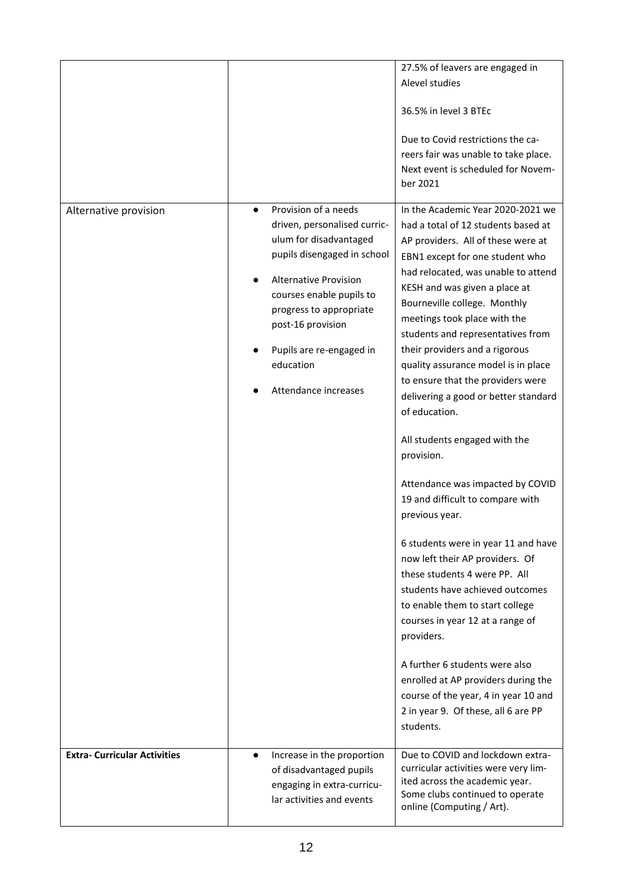| Alternative provision               | Provision of a needs<br>driven, personalised curric-<br>ulum for disadvantaged<br>pupils disengaged in school<br><b>Alternative Provision</b><br>courses enable pupils to<br>progress to appropriate<br>post-16 provision<br>Pupils are re-engaged in<br>education<br>Attendance increases | 27.5% of leavers are engaged in<br>Alevel studies<br>36.5% in level 3 BTEc<br>Due to Covid restrictions the ca-<br>reers fair was unable to take place.<br>Next event is scheduled for Novem-<br>ber 2021<br>In the Academic Year 2020-2021 we<br>had a total of 12 students based at<br>AP providers. All of these were at<br>EBN1 except for one student who<br>had relocated, was unable to attend<br>KESH and was given a place at<br>Bourneville college. Monthly<br>meetings took place with the<br>students and representatives from<br>their providers and a rigorous<br>quality assurance model is in place<br>to ensure that the providers were<br>delivering a good or better standard<br>of education.<br>All students engaged with the<br>provision.<br>Attendance was impacted by COVID<br>19 and difficult to compare with |
|-------------------------------------|--------------------------------------------------------------------------------------------------------------------------------------------------------------------------------------------------------------------------------------------------------------------------------------------|-------------------------------------------------------------------------------------------------------------------------------------------------------------------------------------------------------------------------------------------------------------------------------------------------------------------------------------------------------------------------------------------------------------------------------------------------------------------------------------------------------------------------------------------------------------------------------------------------------------------------------------------------------------------------------------------------------------------------------------------------------------------------------------------------------------------------------------------|
|                                     |                                                                                                                                                                                                                                                                                            | previous year.<br>6 students were in year 11 and have<br>now left their AP providers. Of<br>these students 4 were PP. All<br>students have achieved outcomes<br>to enable them to start college<br>courses in year 12 at a range of<br>providers.<br>A further 6 students were also                                                                                                                                                                                                                                                                                                                                                                                                                                                                                                                                                       |
|                                     |                                                                                                                                                                                                                                                                                            | enrolled at AP providers during the<br>course of the year, 4 in year 10 and<br>2 in year 9. Of these, all 6 are PP<br>students.                                                                                                                                                                                                                                                                                                                                                                                                                                                                                                                                                                                                                                                                                                           |
| <b>Extra- Curricular Activities</b> | Increase in the proportion<br>$\bullet$<br>of disadvantaged pupils<br>engaging in extra-curricu-<br>lar activities and events                                                                                                                                                              | Due to COVID and lockdown extra-<br>curricular activities were very lim-<br>ited across the academic year.<br>Some clubs continued to operate<br>online (Computing / Art).                                                                                                                                                                                                                                                                                                                                                                                                                                                                                                                                                                                                                                                                |